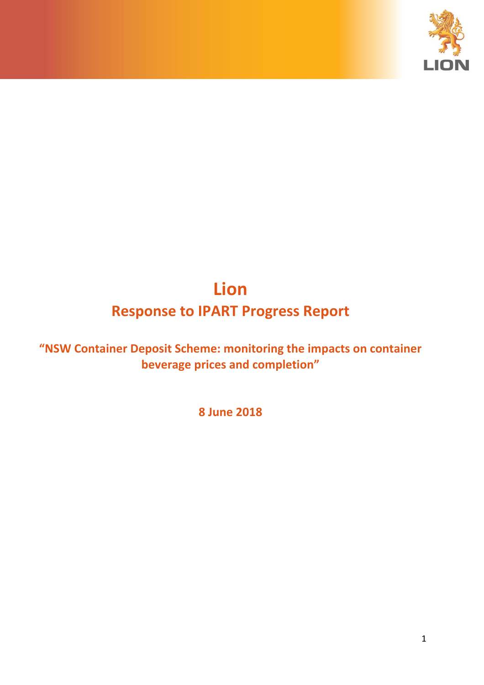

# **Lion Response to IPART Progress Report**

**"NSW Container Deposit Scheme: monitoring the impacts on container beverage prices and completion"**

**8 June 2018**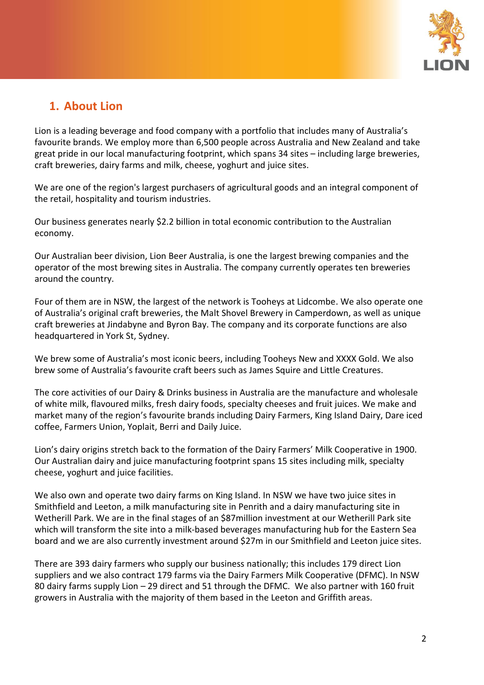

### **1. About Lion**

Lion is a leading beverage and food company with a portfolio that includes many of Australia's favourite brands. We employ more than 6,500 people across Australia and New Zealand and take great pride in our local manufacturing footprint, which spans 34 sites – including large breweries, craft breweries, dairy farms and milk, cheese, yoghurt and juice sites.

We are one of the region's largest purchasers of agricultural goods and an integral component of the retail, hospitality and tourism industries.

Our business generates nearly \$2.2 billion in total economic contribution to the Australian economy.

Our Australian beer division, Lion Beer Australia, is one the largest brewing companies and the operator of the most brewing sites in Australia. The company currently operates ten breweries around the country.

Four of them are in NSW, the largest of the network is Tooheys at Lidcombe. We also operate one of Australia's original craft breweries, the Malt Shovel Brewery in Camperdown, as well as unique craft breweries at Jindabyne and Byron Bay. The company and its corporate functions are also headquartered in York St, Sydney.

We brew some of Australia's most iconic beers, including Tooheys New and XXXX Gold. We also brew some of Australia's favourite craft beers such as James Squire and Little Creatures.

The core activities of our Dairy & Drinks business in Australia are the manufacture and wholesale of white milk, flavoured milks, fresh dairy foods, specialty cheeses and fruit juices. We make and market many of the region's favourite brands including Dairy Farmers, King Island Dairy, Dare iced coffee, Farmers Union, Yoplait, Berri and Daily Juice.

Lion's dairy origins stretch back to the formation of the Dairy Farmers' Milk Cooperative in 1900. Our Australian dairy and juice manufacturing footprint spans 15 sites including milk, specialty cheese, yoghurt and juice facilities.

We also own and operate two dairy farms on King Island. In NSW we have two juice sites in Smithfield and Leeton, a milk manufacturing site in Penrith and a dairy manufacturing site in Wetherill Park. We are in the final stages of an \$87million investment at our Wetherill Park site which will transform the site into a milk-based beverages manufacturing hub for the Eastern Sea board and we are also currently investment around \$27m in our Smithfield and Leeton juice sites.

There are 393 dairy farmers who supply our business nationally; this includes 179 direct Lion suppliers and we also contract 179 farms via the Dairy Farmers Milk Cooperative (DFMC). In NSW 80 dairy farms supply Lion – 29 direct and 51 through the DFMC. We also partner with 160 fruit growers in Australia with the majority of them based in the Leeton and Griffith areas.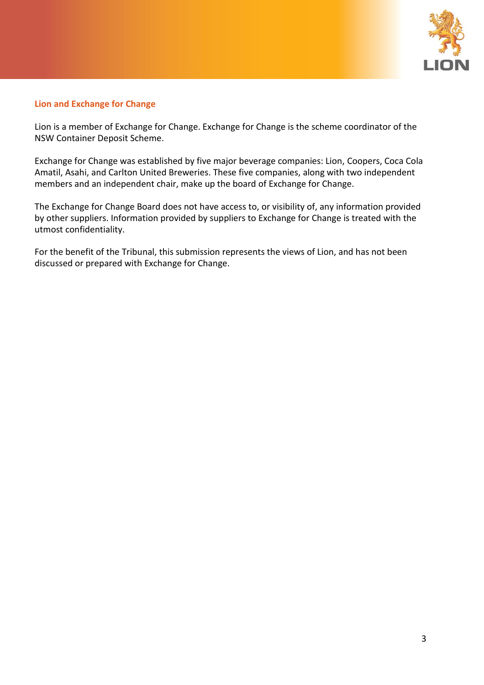

#### **Lion and Exchange for Change**

Lion is a member of Exchange for Change. Exchange for Change is the scheme coordinator of the NSW Container Deposit Scheme.

Exchange for Change was established by five major beverage companies: Lion, Coopers, Coca Cola Amatil, Asahi, and Carlton United Breweries. These five companies, along with two independent members and an independent chair, make up the board of Exchange for Change.

The Exchange for Change Board does not have access to, or visibility of, any information provided by other suppliers. Information provided by suppliers to Exchange for Change is treated with the utmost confidentiality.

For the benefit of the Tribunal, this submission represents the views of Lion, and has not been discussed or prepared with Exchange for Change.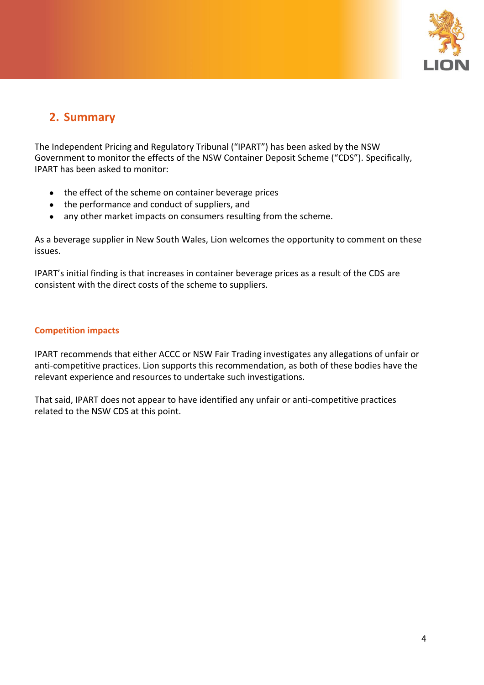

## **2. Summary**

The Independent Pricing and Regulatory Tribunal ("IPART") has been asked by the NSW Government to monitor the effects of the NSW Container Deposit Scheme ("CDS"). Specifically, IPART has been asked to monitor:

- the effect of the scheme on container beverage prices
- the performance and conduct of suppliers, and
- any other market impacts on consumers resulting from the scheme.

As a beverage supplier in New South Wales, Lion welcomes the opportunity to comment on these issues.

IPART's initial finding is that increases in container beverage prices as a result of the CDS are consistent with the direct costs of the scheme to suppliers.

#### **Competition impacts**

IPART recommends that either ACCC or NSW Fair Trading investigates any allegations of unfair or anti-competitive practices. Lion supports this recommendation, as both of these bodies have the relevant experience and resources to undertake such investigations.

That said, IPART does not appear to have identified any unfair or anti-competitive practices related to the NSW CDS at this point.